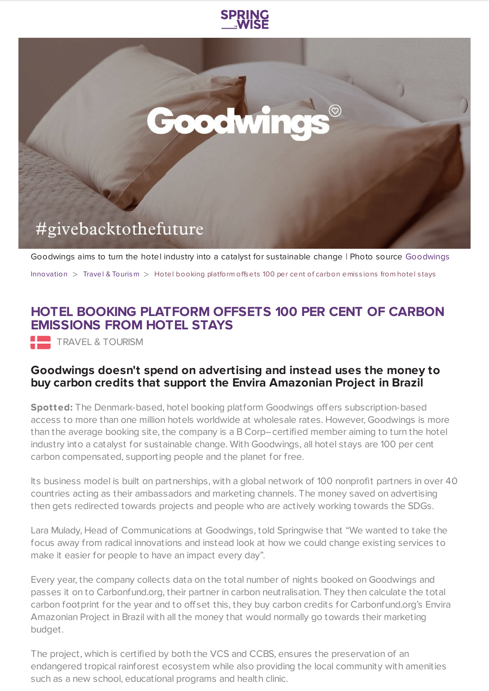



Goodwings aims to turn the hotel industry into a catalyst for sustainable change | Photo source [Goodwings](http://www.goodwings.com/)

[Innovation](https://www.springwise.com/search?type=innovation)  $>$  Travel & [Tourism](https://www.springwise.com/search?type=innovation§or=travel-and-tourism)  $>$  Hotel booking platform offsets 100 per cent of carbon emissions from hotel stays

## **HOTEL BOOKING PLATFORM OFFSETS 100 PER CENT OF CARBON EMISSIONS FROM HOTEL STAYS**

**TRAVEL & TOURISM** 

## **Goodwings doesn't spend on advertising and instead uses the money to buy carbon credits that support the Envira Amazonian Project in Brazil**

**Spotted:** The Denmark-based, hotel booking platform Goodwings offers subscription-based access to more than one million hotels worldwide at wholesale rates. However, Goodwings is more than the average booking site, the company is a B Corp–certified member aiming to turn the hotel industry into a catalyst for sustainable change. With Goodwings, all hotel stays are 100 per cent carbon compensated, supporting people and the planet for free.

Its business model is built on partnerships, with a global network of 100 nonprofit partners in over 40 countries acting as their ambassadors and marketing channels. The money saved on advertising then gets redirected towards projects and people who are actively working towards the SDGs.

Lara Mulady, Head of Communications at Goodwings, told Springwise that "We wanted to take the focus away from radical innovations and instead look at how we could change existing services to make it easier for people to have an impact every day".

Every year, the company collects data on the total number of nights booked on Goodwings and passes it on to Carbonfund.org, their partner in carbon neutralisation. They then calculate the total carbon footprint for the year and to offset this, they buy carbon credits for Carbonfund.org's Envira Amazonian Project in Brazil with all the money that would normally go towards their marketing budget.

The project, which is certified by both the VCS and CCBS, ensures the preservation of an endangered tropical rainforest ecosystem while also providing the local community with amenities such as a new school, educational programs and health clinic.